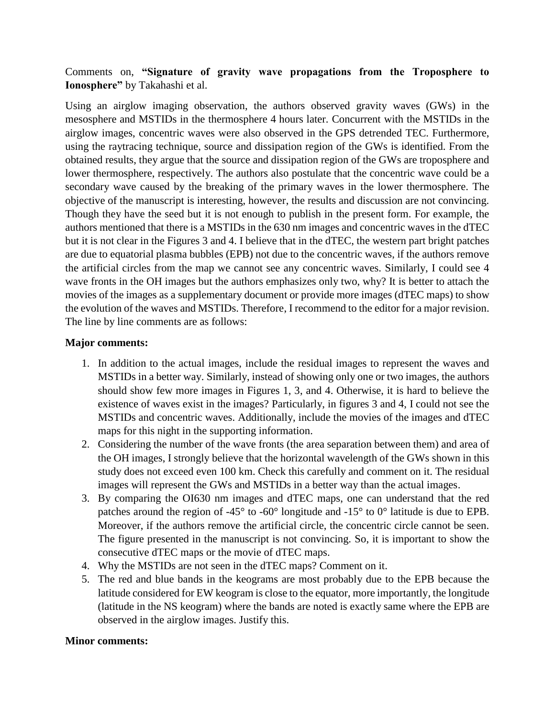## Comments on, **"Signature of gravity wave propagations from the Troposphere to Ionosphere"** by Takahashi et al.

Using an airglow imaging observation, the authors observed gravity waves (GWs) in the mesosphere and MSTIDs in the thermosphere 4 hours later. Concurrent with the MSTIDs in the airglow images, concentric waves were also observed in the GPS detrended TEC. Furthermore, using the raytracing technique, source and dissipation region of the GWs is identified. From the obtained results, they argue that the source and dissipation region of the GWs are troposphere and lower thermosphere, respectively. The authors also postulate that the concentric wave could be a secondary wave caused by the breaking of the primary waves in the lower thermosphere. The objective of the manuscript is interesting, however, the results and discussion are not convincing. Though they have the seed but it is not enough to publish in the present form. For example, the authors mentioned that there is a MSTIDs in the 630 nm images and concentric waves in the dTEC but it is not clear in the Figures 3 and 4. I believe that in the dTEC, the western part bright patches are due to equatorial plasma bubbles (EPB) not due to the concentric waves, if the authors remove the artificial circles from the map we cannot see any concentric waves. Similarly, I could see 4 wave fronts in the OH images but the authors emphasizes only two, why? It is better to attach the movies of the images as a supplementary document or provide more images (dTEC maps) to show the evolution of the waves and MSTIDs. Therefore, I recommend to the editor for a major revision. The line by line comments are as follows:

## **Major comments:**

- 1. In addition to the actual images, include the residual images to represent the waves and MSTIDs in a better way. Similarly, instead of showing only one or two images, the authors should show few more images in Figures 1, 3, and 4. Otherwise, it is hard to believe the existence of waves exist in the images? Particularly, in figures 3 and 4, I could not see the MSTIDs and concentric waves. Additionally, include the movies of the images and dTEC maps for this night in the supporting information.
- 2. Considering the number of the wave fronts (the area separation between them) and area of the OH images, I strongly believe that the horizontal wavelength of the GWs shown in this study does not exceed even 100 km. Check this carefully and comment on it. The residual images will represent the GWs and MSTIDs in a better way than the actual images.
- 3. By comparing the OI630 nm images and dTEC maps, one can understand that the red patches around the region of -45° to -60° longitude and -15° to 0° latitude is due to EPB. Moreover, if the authors remove the artificial circle, the concentric circle cannot be seen. The figure presented in the manuscript is not convincing. So, it is important to show the consecutive dTEC maps or the movie of dTEC maps.
- 4. Why the MSTIDs are not seen in the dTEC maps? Comment on it.
- 5. The red and blue bands in the keograms are most probably due to the EPB because the latitude considered for EW keogram is close to the equator, more importantly, the longitude (latitude in the NS keogram) where the bands are noted is exactly same where the EPB are observed in the airglow images. Justify this.

## **Minor comments:**